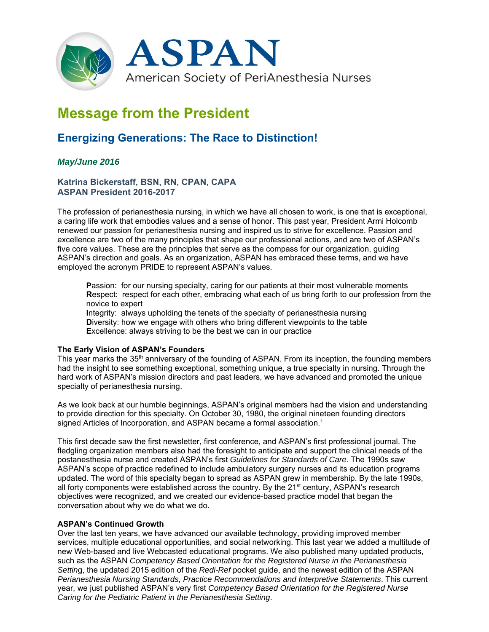

# **Message from the President**

# **Energizing Generations: The Race to Distinction!**

# *May/June 2016*

**Katrina Bickerstaff, BSN, RN, CPAN, CAPA ASPAN President 2016-2017** 

The profession of perianesthesia nursing, in which we have all chosen to work, is one that is exceptional, a caring life work that embodies values and a sense of honor. This past year, President Armi Holcomb renewed our passion for perianesthesia nursing and inspired us to strive for excellence. Passion and excellence are two of the many principles that shape our professional actions, and are two of ASPAN's five core values. These are the principles that serve as the compass for our organization, guiding ASPAN's direction and goals. As an organization, ASPAN has embraced these terms, and we have employed the acronym PRIDE to represent ASPAN's values.

**P**assion: for our nursing specialty, caring for our patients at their most vulnerable moments **R**espect: respect for each other, embracing what each of us bring forth to our profession from the novice to expert

**I**ntegrity: always upholding the tenets of the specialty of perianesthesia nursing **D**iversity: how we engage with others who bring different viewpoints to the table **E**xcellence: always striving to be the best we can in our practice

#### **The Early Vision of ASPAN's Founders**

This year marks the 35<sup>th</sup> anniversary of the founding of ASPAN. From its inception, the founding members had the insight to see something exceptional, something unique, a true specialty in nursing. Through the hard work of ASPAN's mission directors and past leaders, we have advanced and promoted the unique specialty of perianesthesia nursing.

As we look back at our humble beginnings, ASPAN's original members had the vision and understanding to provide direction for this specialty. On October 30, 1980, the original nineteen founding directors signed Articles of Incorporation, and ASPAN became a formal association.<sup>1</sup>

This first decade saw the first newsletter, first conference, and ASPAN's first professional journal. The fledgling organization members also had the foresight to anticipate and support the clinical needs of the postanesthesia nurse and created ASPAN's first *Guidelines for Standards of Care*. The 1990s saw ASPAN's scope of practice redefined to include ambulatory surgery nurses and its education programs updated. The word of this specialty began to spread as ASPAN grew in membership. By the late 1990s, all forty components were established across the country. By the 21<sup>st</sup> century, ASPAN's research objectives were recognized, and we created our evidence-based practice model that began the conversation about why we do what we do.

## **ASPAN's Continued Growth**

Over the last ten years, we have advanced our available technology, providing improved member services, multiple educational opportunities, and social networking. This last year we added a multitude of new Web-based and live Webcasted educational programs. We also published many updated products, such as the ASPAN *Competency Based Orientation for the Registered Nurse in the Perianesthesia Settin*g, the updated 2015 edition of the *Redi-Ref* pocket guide, and the newest edition of the ASPAN *Perianesthesia Nursing Standards, Practice Recommendations and Interpretive Statements*. This current year, we just published ASPAN's very first *Competency Based Orientation for the Registered Nurse Caring for the Pediatric Patient in the Perianesthesia Setting*.